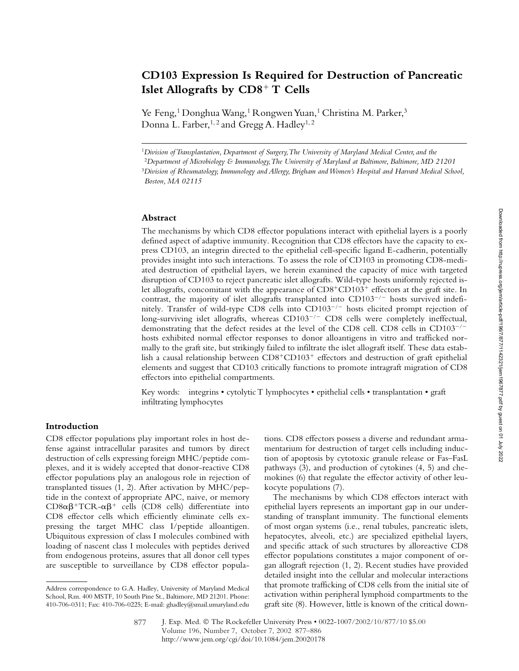# **CD103 Expression Is Required for Destruction of Pancreatic**  Islet Allografts by  $CD8<sup>+</sup> T$  Cells

Ye Feng,<sup>1</sup> Donghua Wang,<sup>1</sup> Rongwen Yuan,<sup>1</sup> Christina M. Parker,<sup>3</sup> Donna L. Farber,<sup>1,2</sup> and Gregg A. Hadley<sup>1,2</sup>

<sup>1</sup>*Division of Transplantation, Department of Surgery, The University of Maryland Medical Center, and the* 

### **Abstract**

The mechanisms by which CD8 effector populations interact with epithelial layers is a poorly defined aspect of adaptive immunity. Recognition that CD8 effectors have the capacity to express CD103, an integrin directed to the epithelial cell-specific ligand E-cadherin, potentially provides insight into such interactions. To assess the role of CD103 in promoting CD8-mediated destruction of epithelial layers, we herein examined the capacity of mice with targeted disruption of CD103 to reject pancreatic islet allografts. Wild-type hosts uniformly rejected islet allografts, concomitant with the appearance of  $CD8^+CD103^+$  effectors at the graft site. In contrast, the majority of islet allografts transplanted into  $CD103^{-/-}$  hosts survived indefinitely. Transfer of wild-type CD8 cells into  $CD103^{-/-}$  hosts elicited prompt rejection of long-surviving islet allografts, whereas  $CD103^{-/-}$  CD8 cells were completely ineffectual, demonstrating that the defect resides at the level of the CD8 cell. CD8 cells in  $CD103^{-/-}$ hosts exhibited normal effector responses to donor alloantigens in vitro and trafficked normally to the graft site, but strikingly failed to infiltrate the islet allograft itself. These data establish a causal relationship between CD8+CD103+ effectors and destruction of graft epithelial elements and suggest that CD103 critically functions to promote intragraft migration of CD8 effectors into epithelial compartments.

Key words: integrins • cytolytic T lymphocytes • epithelial cells • transplantation • graft infiltrating lymphocytes

# **Introduction**

CD8 effector populations play important roles in host defense against intracellular parasites and tumors by direct destruction of cells expressing foreign MHC/peptide complexes, and it is widely accepted that donor-reactive CD8 effector populations play an analogous role in rejection of transplanted tissues (1, 2). After activation by MHC/peptide in the context of appropriate APC, naive, or memory  $CD8\alpha\beta^+ TCR - \alpha\beta^+$  cells (CD8 cells) differentiate into CD8 effector cells which efficiently eliminate cells expressing the target MHC class I/peptide alloantigen. Ubiquitous expression of class I molecules combined with loading of nascent class I molecules with peptides derived from endogenous proteins, assures that all donor cell types are susceptible to surveillance by CD8 effector populations. CD8 effectors possess a diverse and redundant armamentarium for destruction of target cells including induction of apoptosis by cytotoxic granule release or Fas–FasL pathways (3), and production of cytokines (4, 5) and chemokines (6) that regulate the effector activity of other leukocyte populations (7).

The mechanisms by which CD8 effectors interact with epithelial layers represents an important gap in our understanding of transplant immunity. The functional elements of most organ systems (i.e., renal tubules, pancreatic islets, hepatocytes, alveoli, etc.) are specialized epithelial layers, and specific attack of such structures by alloreactive CD8 effector populations constitutes a major component of organ allograft rejection (1, 2). Recent studies have provided detailed insight into the cellular and molecular interactions that promote trafficking of CD8 cells from the initial site of activation within peripheral lymphoid compartments to the graft site (8). However, little is known of the critical down-

<sup>2</sup>*Department of Microbiology & Immunology, The University of Maryland at Baltimore, Baltimore, MD 21201*

<sup>3</sup>*Division of Rheumatology, Immunology and Allergy, Brigham and Women's Hospital and Harvard Medical School, Boston, MA 02115*

Address correspondence to G.A. Hadley, University of Maryland Medical School, Rm. 400 MSTF, 10 South Pine St., Baltimore, MD 21201. Phone: 410-706-0311; Fax: 410-706-0225; E-mail: ghadley@smail.umaryland.edu

J. Exp. Med. © The Rockefeller University Press • 0022-1007/2002/10/877/10 \$5.00 Volume 196, Number 7, October 7, 2002 877–886 http://www.jem.org/cgi/doi/10.1084/jem.20020178 877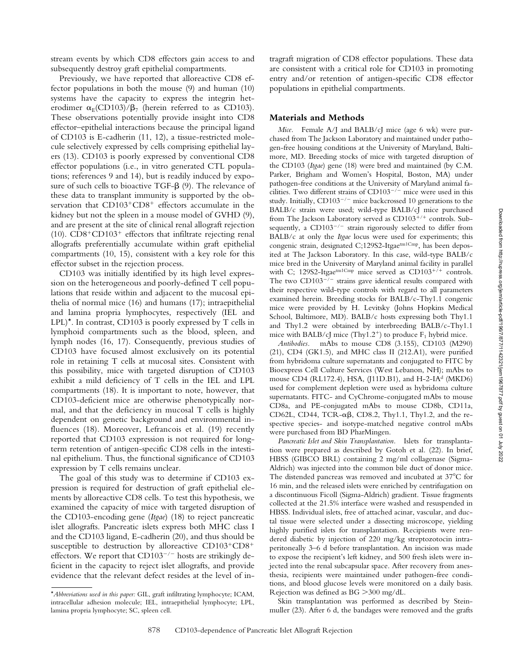stream events by which CD8 effectors gain access to and subsequently destroy graft epithelial compartments.

Previously, we have reported that alloreactive CD8 effector populations in both the mouse (9) and human (10) systems have the capacity to express the integrin heterodimer  $\alpha_E$ (CD103)/ $\beta_7$  (herein referred to as CD103). These observations potentially provide insight into CD8 effector–epithelial interactions because the principal ligand of CD103 is E-cadherin (11, 12), a tissue-restricted molecule selectively expressed by cells comprising epithelial layers (13). CD103 is poorly expressed by conventional CD8 effector populations (i.e., in vitro generated CTL populations; references 9 and 14), but is readily induced by exposure of such cells to bioactive TGF- $\beta$  (9). The relevance of these data to transplant immunity is supported by the observation that CD103<sup>+</sup>CD8<sup>+</sup> effectors accumulate in the kidney but not the spleen in a mouse model of GVHD (9), and are present at the site of clinical renal allograft rejection (10).  $CD8+CD103<sup>+</sup>$  effectors that infiltrate rejecting renal allografts preferentially accumulate within graft epithelial compartments (10, 15), consistent with a key role for this effector subset in the rejection process.

CD103 was initially identified by its high level expression on the heterogeneous and poorly-defined T cell populations that reside within and adjacent to the mucosal epithelia of normal mice (16) and humans (17); intraepithelial and lamina propria lymphocytes, respectively (IEL and  $LPL$ <sup>\*</sup>. In contrast, CD103 is poorly expressed by T cells in lymphoid compartments such as the blood, spleen, and lymph nodes (16, 17). Consequently, previous studies of CD103 have focused almost exclusively on its potential role in retaining T cells at mucosal sites. Consistent with this possibility, mice with targeted disruption of CD103 exhibit a mild deficiency of T cells in the IEL and LPL compartments (18). It is important to note, however, that CD103-deficient mice are otherwise phenotypically normal, and that the deficiency in mucosal T cells is highly dependent on genetic background and environmental influences (18). Moreover, Lefrancois et al. (19) recently reported that CD103 expression is not required for longterm retention of antigen-specific CD8 cells in the intestinal epithelium. Thus, the functional significance of CD103 expression by T cells remains unclear.

The goal of this study was to determine if CD103 expression is required for destruction of graft epithelial elements by alloreactive CD8 cells. To test this hypothesis, we examined the capacity of mice with targeted disruption of the CD103-encoding gene (*Itgae*) (18) to reject pancreatic islet allografts. Pancreatic islets express both MHC class I and the CD103 ligand, E-cadherin (20), and thus should be susceptible to destruction by alloreactive  $CD103^+CD8^+$ effectors. We report that  $CD103^{-/-}$  hosts are strikingly deficient in the capacity to reject islet allografts, and provide evidence that the relevant defect resides at the level of intragraft migration of CD8 effector populations. These data are consistent with a critical role for CD103 in promoting entry and/or retention of antigen-specific CD8 effector populations in epithelial compartments.

#### **Materials and Methods**

*Mice.* Female A/J and BALB/cJ mice (age 6 wk) were purchased from The Jackson Laboratory and maintained under pathogen-free housing conditions at the University of Maryland, Baltimore, MD. Breeding stocks of mice with targeted disruption of the CD103 (*Itgae*) gene (18) were bred and maintained (by C.M. Parker, Brigham and Women's Hospital, Boston, MA) under pathogen-free conditions at the University of Maryland animal facilities. Two different strains of  $CD103^{-/-}$  mice were used in this study. Initially,  $CD103^{-/-}$  mice backcrossed 10 generations to the BALB/c strain were used; wild-type BALB/cJ mice purchased from The Jackson Laboratory served as CD103<sup>+/+</sup> controls. Subsequently, a  $CD103^{-/-}$  strain rigorously selected to differ from BALB/c at only the *Itgae* locus were used for experiments; this congenic strain, designated C;129S2-Itgae<sup>tm1Cmp</sup>, has been deposited at The Jackson Laboratory. In this case, wild-type BALB/c mice bred in the University of Maryland animal facility in parallel with C; 129S2-Itgae<sup>tm1Cmp</sup> mice served as CD103<sup>+/+</sup> controls. The two  $CD103^{-/-}$  strains gave identical results compared with their respective wild-type controls with regard to all parameters examined herein. Breeding stocks for BALB/c-Thy1.1 congenic mice were provided by H. Levitsky (Johns Hopkins Medical School, Baltimore, MD). BALB/c hosts expressing both Thy1.1 and Thy1.2 were obtained by interbreeding BALB/c-Thy1.1 mice with BALB/cJ mice (Thy1.2<sup>+</sup>) to produce  $F_1$  hybrid mice.

*Antibodies.* mAbs to mouse CD8 (3.155), CD103 (M290) (21), CD4 (GK1.5), and MHC class II (212.A1), were purified from hybridoma culture supernatants and conjugated to FITC by Bioexpress Cell Culture Services (West Lebanon, NH); mAbs to mouse CD4 (RL172.4), HSA, (J11D.B1), and H-2-IA<sup>d</sup> (MKD6) used for complement depletion were used as hybridoma culture supernatants. FITC- and CyChrome-conjugated mAbs to mouse CD8a, and PE-conjugated mAbs to mouse CD8b, CD11a, CD62L, CD44, TCR- $\alpha\beta$ , CD8.2, Thy1.1, Thy1.2, and the respective species- and isotype-matched negative control mAbs were purchased from BD PharMingen.

*Pancreatic Islet and Skin Transplantation.* Islets for transplantation were prepared as described by Gotoh et al. (22). In brief, HBSS (GIBCO BRL) containing 2 mg/ml collagenase (Sigma-Aldrich) was injected into the common bile duct of donor mice. The distended pancreas was removed and incubated at  $37^{\circ}$ C for 16 min, and the released islets were enriched by centrifugation on a discontinuous Ficoll (Sigma-Aldrich) gradient. Tissue fragments collected at the 21.5% interface were washed and resuspended in HBSS. Individual islets, free of attached acinar, vascular, and ductal tissue were selected under a dissecting microscope, yielding highly purified islets for transplantation. Recipients were rendered diabetic by injection of 220 mg/kg streptozotocin intraperitoneally 3–6 d before transplantation. An incision was made to expose the recipient's left kidney, and 500 fresh islets were injected into the renal subcapsular space. After recovery from anesthesia, recipients were maintained under pathogen-free conditions, and blood glucose levels were monitored on a daily basis. Rejection was defined as BG 300 mg/dL.

Skin transplantation was performed as described by Steinmuller (23). After 6 d, the bandages were removed and the grafts

<sup>\*</sup>*Abbreviations used in this paper:* GIL, graft infiltrating lymphocyte; ICAM, intracellular adhesion molecule; IEL, intraepithelial lymphocyte; LPL, lamina propria lymphocyte; SC, spleen cell.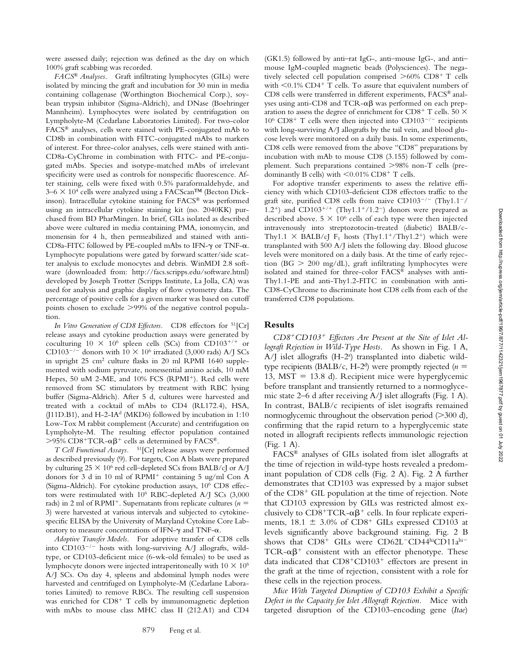Downloaded from http://rupress.org/jem/article-pdf/196/77711142321/jem1967877.pdf by guest on 01 July 2022 Downloaded from http://rupress.org/jem/article-pdf/196/7/877/1142321/jem1967877.pdf by guest on 01 July 2022

were assessed daily; rejection was defined as the day on which 100% graft scabbing was recorded.

*FACS® Analyses.* Graft infiltrating lymphocytes (GILs) were isolated by mincing the graft and incubation for 30 min in media containing collagenase (Worthington Biochemical Corp.), soybean trypsin inhibitor (Sigma-Aldrich), and DNase (Boehringer Mannheim). Lymphocytes were isolated by centrifugation on Lympholyte-M (Cedarlane Laboratories Limited). For two-color FACS® analyses, cells were stained with PE-conjugated mAb to CD8b in combination with FITC-conjugated mAbs to markers of interest. For three-color analyses, cells were stained with anti-CD8a-CyChrome in combination with FITC- and PE-conjugated mAbs. Species and isotype-matched mAbs of irrelevant specificity were used as controls for nonspecific fluorescence. After staining, cells were fixed with 0.5% paraformaldehyde, and  $3-6 \times 10^4$  cells were analyzed using a FACScan<sup>TM</sup> (Becton Dickinson). Intracellular cytokine staining for FACS® was performed using an intracellular cytokine staining kit (no. 2040KK) purchased from BD PharMingen. In brief, GILs isolated as described above were cultured in media containing PMA, ionomycin, and monensin for 4 h, then permeabilized and stained with anti-CD8a-FITC followed by PE-coupled mAbs to IFN- $\gamma$  or TNF- $\alpha$ . Lymphocyte populations were gated by forward scatter/side scatter analysis to exclude monocytes and debris. WinMDI 2.8 software (downloaded from: http://facs.scripps.edu/software.html) developed by Joseph Trotter (Scripps Institute, La Jolla, CA) was used for analysis and graphic display of flow cytometry data. The percentage of positive cells for a given marker was based on cutoff points chosen to exclude >99% of the negative control population.

*In Vitro Generation of CD8 Effectors.* CD8 effectors for <sup>51</sup>[Cr] release assays and cytokine production assays were generated by coculturing  $10 \times 10^6$  spleen cells (SCs) from CD103<sup>+/+</sup> or CD103<sup>-/-</sup> donors with 10  $\times$  10<sup>6</sup> irradiated (3,000 rads) A/J SCs in upright 25 cm<sup>2</sup> culture flasks in 20 ml RPMI 1640 supplemented with sodium pyruvate, nonessential amino acids, 10 mM Hepes, 50 uM 2-ME, and 10% FCS (RPMI<sup>+</sup>). Red cells were removed from SC stimulators by treatment with RBC lysing buffer (Sigma-Aldrich). After 5 d, cultures were harvested and treated with a cocktail of mAbs to CD4 (RL172.4), HSA, (J11D.B1), and H-2-IA<sup>d</sup> (MKD6) followed by incubation in 1:10 Low-Tox M rabbit complement (Accurate) and centrifugation on Lympholyte-M. The resulting effector population contained  $>$ 95% CD8<sup>+</sup>TCR- $\alpha\beta$ <sup>+</sup> cells as determined by FACS®.

*T Cell Functional Assays.* 51[Cr] release assays were performed as described previously (9). For targets, Con A blasts were prepared by culturing  $25 \times 10^6$  red cell–depleted SCs from BALB/cJ or A/J donors for 3 d in 10 ml of RPMI<sup>+</sup> containing 5 ug/ml Con A (Sigma-Aldrich). For cytokine production assays, 106 CD8 effectors were restimulated with 106 RBC-depleted A/J SCs (3,000 rads) in 2 ml of RPMI<sup>+</sup>. Supernatants from replicate cultures ( $n =$ 3) were harvested at various intervals and subjected to cytokinespecific ELISA by the University of Maryland Cytokine Core Laboratory to measure concentrations of IFN- $\gamma$  and TNF- $\alpha$ .

*Adoptive Transfer Models.* For adoptive transfer of CD8 cells into  $CD103^{-/-}$  hosts with long-surviving A/J allografts, wildtype, or CD103-deficient mice (6-wk-old females) to be used as lymphocyte donors were injected intraperitoneally with  $10 \times 10^6$ A/J SCs. On day 4, spleens and abdominal lymph nodes were harvested and centrifuged on Lympholyte-M (Cedarlane Laboratories Limited) to remove RBCs. The resulting cell suspension was enriched for CD8<sup>+</sup> T cells by immunomagnetic depletion with mAbs to mouse class MHC class II (212.A1) and CD4

(GK1.5) followed by anti–rat IgG-, anti–mouse IgG-, and anti– mouse IgM-coupled magnetic beads (Polysciences). The negatively selected cell population comprised  $>60\%$  CD8<sup>+</sup> T cells with  $\leq$  0.1% CD4<sup>+</sup> T cells. To assure that equivalent numbers of CD8 cells were transferred in different experiments, FACS® analyses using anti-CD8 and TCR- $\alpha\beta$  was performed on each preparation to assess the degree of enrichment for CD8<sup>+</sup> T cells. 50  $\times$  $10^6$  CD8<sup>+</sup> T cells were then injected into CD103<sup>-/-</sup> recipients with long-surviving A/J allografts by the tail vein, and blood glucose levels were monitored on a daily basis. In some experiments, CD8 cells were removed from the above "CD8" preparations by incubation with mAb to mouse CD8 (3.155) followed by complement. Such preparations contained 98% non-T cells (predominantly B cells) with  $\leq 0.01\%$  CD8<sup>+</sup> T cells.

For adoptive transfer experiments to assess the relative efficiency with which CD103-deficient CD8 effectors traffic to the graft site, purified CD8 cells from naive CD103<sup>-/-</sup> (Thy1.1<sup>-</sup>/ 1.2<sup>+</sup>) and CD103<sup>+/+</sup> (Thy1.1<sup>+</sup>/1.2<sup>-</sup>) donors were prepared as described above.  $5 \times 10^6$  cells of each type were then injected intravenously into streptozotocin-treated (diabetic) BALB/c-Thy1.1  $\times$  BALB/cJ F<sub>1</sub> hosts (Thy1.1<sup>+</sup>/Thy1.2<sup>+</sup>) which were transplanted with 500 A/J islets the following day. Blood glucose levels were monitored on a daily basis. At the time of early rejection ( $BG > 200$  mg/dL), graft infiltrating lymphocytes were isolated and stained for three-color FACS® analyses with anti-Thy1.1-PE and anti-Thy1.2-FITC in combination with anti-CD8-CyChrome to discriminate host CD8 cells from each of the transferred CD8 populations.

## **Results**

*CD8*-*CD103*- *Effectors Are Present at the Site of Islet Allograft Rejection in Wild-Type Hosts.* As shown in Fig. 1 A, A/J islet allografts (H-2<sup>a</sup>) transplanted into diabetic wildtype recipients (BALB/c, H-2<sup>d</sup>) were promptly rejected ( $n =$ 13, MST 13.8 d). Recipient mice were hyperglycemic before transplant and transiently returned to a normoglycemic state 2–6 d after receiving A/J islet allografts (Fig. 1 A). In contrast, BALB/c recipients of islet isografts remained normoglycemic throughout the observation period  $(>300 d)$ , confirming that the rapid return to a hyperglycemic state noted in allograft recipients reflects immunologic rejection (Fig. 1 A).

FACS® analyses of GILs isolated from islet allografts at the time of rejection in wild-type hosts revealed a predominant population of CD8 cells (Fig. 2 A). Fig. 2 A further demonstrates that CD103 was expressed by a major subset of the CD8<sup>+</sup> GIL population at the time of rejection. Note that CD103 expression by GILs was restricted almost exclusively to  $CD8+TCR-\alpha\beta^+$  cells. In four replicate experiments,  $18.1 \pm 3.0\%$  of CD8<sup>+</sup> GILs expressed CD103 at levels significantly above background staining. Fig. 2 B shows that CD8<sup>+</sup> GILs were CD62L<sup>-</sup>CD44hiCD11ahi-TCR- $\alpha\beta^+$  consistent with an effector phenotype. These data indicated that CD8<sup>+</sup>CD103<sup>+</sup> effectors are present in the graft at the time of rejection, consistent with a role for these cells in the rejection process.

*Mice With Targeted Disruption of CD103 Exhibit a Specific Defect in the Capacity for Islet Allograft Rejection.* Mice with targeted disruption of the CD103-encoding gene (*Itae*)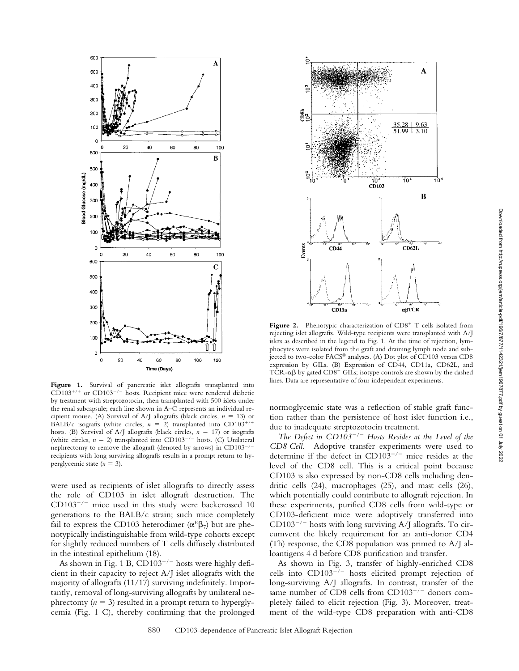

Figure 1. Survival of pancreatic islet allografts transplanted into  $CD103^{+/+}$  or  $CD103^{-/-}$  hosts. Recipient mice were rendered diabetic by treatment with streptozotocin, then transplanted with 500 islets under the renal subcapsule; each line shown in A–C represents an individual recipient mouse. (A) Survival of A/J allografts (black circles,  $n = 13$ ) or BALB/c isografts (white circles,  $n = 2$ ) transplanted into CD103<sup>+/+</sup> hosts. (B) Survival of A/J allografts (black circles, *n* 17) or isografts (white circles,  $n = 2$ ) transplanted into CD103<sup>-/-</sup> hosts. (C) Unilateral nephrectomy to remove the allograft (denoted by arrows) in CD103<sup>-</sup> recipients with long surviving allografts results in a prompt return to hyperglycemic state  $(n = 3)$ .

were used as recipients of islet allografts to directly assess the role of CD103 in islet allograft destruction. The  $CD103^{-/-}$  mice used in this study were backcrossed 10 generations to the BALB/c strain; such mice completely fail to express the CD103 heterodimer ( $\alpha^{E} \beta_{7}$ ) but are phenotypically indistinguishable from wild-type cohorts except for slightly reduced numbers of T cells diffusely distributed in the intestinal epithelium (18).

As shown in Fig. 1 B,  $CD103^{-/-}$  hosts were highly deficient in their capacity to reject A/J islet allografts with the majority of allografts (11/17) surviving indefinitely. Importantly, removal of long-surviving allografts by unilateral nephrectomy  $(n = 3)$  resulted in a prompt return to hyperglycemia (Fig. 1 C), thereby confirming that the prolonged



Figure 2. Phenotypic characterization of CD8<sup>+</sup> T cells isolated from rejecting islet allografts. Wild-type recipients were transplanted with A/J islets as described in the legend to Fig. 1. At the time of rejection, lymphocytes were isolated from the graft and draining lymph node and subjected to two-color FACS® analyses. (A) Dot plot of CD103 versus CD8 expression by GILs. (B) Expression of CD44, CD11a, CD62L, and TCR- $\alpha\beta$  by gated CD8<sup>+</sup> GILs; isotype controls are shown by the dashed lines. Data are representative of four independent experiments.

normoglycemic state was a reflection of stable graft function rather than the persistence of host islet function i.e., due to inadequate streptozotocin treatment.

*The Defect in CD103/ Hosts Resides at the Level of the CD8 Cell.* Adoptive transfer experiments were used to determine if the defect in  $CD103^{-/-}$  mice resides at the level of the CD8 cell. This is a critical point because CD103 is also expressed by non-CD8 cells including dendritic cells (24), macrophages (25), and mast cells (26), which potentially could contribute to allograft rejection. In these experiments, purified CD8 cells from wild-type or CD103-deficient mice were adoptively transferred into  $CD103^{-/-}$  hosts with long surviving A/J allografts. To circumvent the likely requirement for an anti-donor CD4 (Th) response, the CD8 population was primed to A/J alloantigens 4 d before CD8 purification and transfer.

As shown in Fig. 3, transfer of highly-enriched CD8 cells into  $CD103^{-/-}$  hosts elicited prompt rejection of long-surviving A/J allografts. In contrast, transfer of the same number of CD8 cells from  $CD103^{-/-}$  donors completely failed to elicit rejection (Fig. 3). Moreover, treatment of the wild-type CD8 preparation with anti-CD8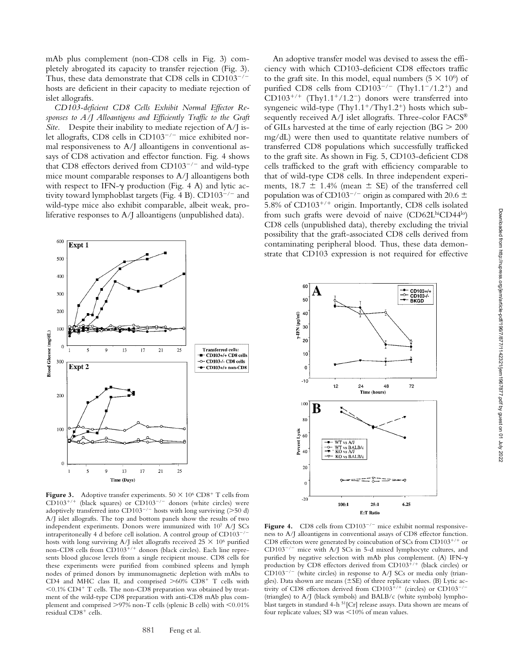mAb plus complement (non-CD8 cells in Fig. 3) completely abrogated its capacity to transfer rejection (Fig. 3). Thus, these data demonstrate that CD8 cells in  $CD103^{-/-}$ hosts are deficient in their capacity to mediate rejection of islet allografts.

*CD103-deficient CD8 Cells Exhibit Normal Effector Responses to A/J Alloantigens and Efficiently Traffic to the Graft Site.* Despite their inability to mediate rejection of A/J islet allografts, CD8 cells in CD103<sup>-/-</sup> mice exhibited normal responsiveness to A/J alloantigens in conventional assays of CD8 activation and effector function. Fig. 4 shows that CD8 effectors derived from  $CD103^{-/-}$  and wild-type mice mount comparable responses to A/J alloantigens both with respect to IFN- $\gamma$  production (Fig. 4 A) and lytic activity toward lymphoblast targets (Fig. 4 B).  $CD103^{-/-}$  and wild-type mice also exhibit comparable, albeit weak, proliferative responses to A/J alloantigens (unpublished data).



**Figure 3.** Adoptive transfer experiments.  $50 \times 10^6$  CD8<sup>+</sup> T cells from  $CD103^{+/+}$  (black squares) or  $CD103^{-/-}$  donors (white circles) were adoptively transferred into  $CD103^{-/-}$  hosts with long surviving (>50 d) A/J islet allografts. The top and bottom panels show the results of two independent experiments. Donors were immunized with 107 A/J SCs intraperitoneally 4 d before cell isolation. A control group of  $CD103^{-/-}$ hosts with long surviving A/J islet allografts received  $25 \times 10^6$  purified non-CD8 cells from CD103<sup>+/+</sup> donors (black circles). Each line represents blood glucose levels from a single recipient mouse. CD8 cells for these experiments were purified from combined spleens and lymph nodes of primed donors by immunomagnetic depletion with mAbs to CD4 and MHC class II, and comprised  $>60\%$  CD8<sup>+</sup> T cells with  $0.1\%$  CD4<sup>+</sup> T cells. The non-CD8 preparation was obtained by treatment of the wild-type CD8 preparation with anti-CD8 mAb plus complement and comprised  $>$  97% non-T cells (splenic B cells) with  $<$  0.01% residual CD8<sup>+</sup> cells.

An adoptive transfer model was devised to assess the efficiency with which CD103-deficient CD8 effectors traffic to the graft site. In this model, equal numbers  $(5 \times 10^6)$  of purified CD8 cells from CD103<sup>-/-</sup> (Thy1.1<sup>-</sup>/1.2<sup>+</sup>) and  $CD103^{+/+}$  (Thy1.1<sup>+</sup>/1.2<sup>-</sup>) donors were transferred into syngeneic wild-type  $(Thy1.1^+/Thy1.2^+)$  hosts which subsequently received A/J islet allografts. Three-color FACS<sup>®</sup> of GILs harvested at the time of early rejection ( $BG > 200$ ) mg/dL) were then used to quantitate relative numbers of transferred CD8 populations which successfully trafficked to the graft site. As shown in Fig. 5, CD103-deficient CD8 cells trafficked to the graft with efficiency comparable to that of wild-type CD8 cells. In three independent experiments,  $18.7 \pm 1.4\%$  (mean  $\pm$  SE) of the transferred cell population was of CD103<sup>-/-</sup> origin as compared with 20.6  $\pm$ 5.8% of CD103<sup>+/+</sup> origin. Importantly, CD8 cells isolated from such grafts were devoid of naive (CD62LhiCD44lo) CD8 cells (unpublished data), thereby excluding the trivial possibility that the graft-associated CD8 cells derived from contaminating peripheral blood. Thus, these data demonstrate that CD103 expression is not required for effective



**Figure 4.** CD8 cells from  $CD103^{-/-}$  mice exhibit normal responsiveness to A/J alloantigens in conventional assays of CD8 effector function. CD8 effectors were generated by coincubation of SCs from CD103<sup>+/+</sup> or  $CD103^{-/-}$  mice with A/J SCs in 5-d mixed lymphocyte cultures, and purified by negative selection with mAb plus complement. (A) IFN- $\gamma$ production by CD8 effectors derived from CD103<sup>+/+</sup> (black circles) or  $CD103^{-/-}$  (white circles) in response to A/J SCs or media only (triangles). Data shown are means  $(\pm SE)$  of three replicate values. (B) Lytic activity of CD8 effectors derived from CD103<sup>+/+</sup> (circles) or CD103<sup>-/-</sup> (triangles) to A/J (black symbols) and BALB/c (white symbols) lymphoblast targets in standard 4-h <sup>51</sup>[Cr] release assays. Data shown are means of four replicate values; SD was  $\leq 10\%$  of mean values.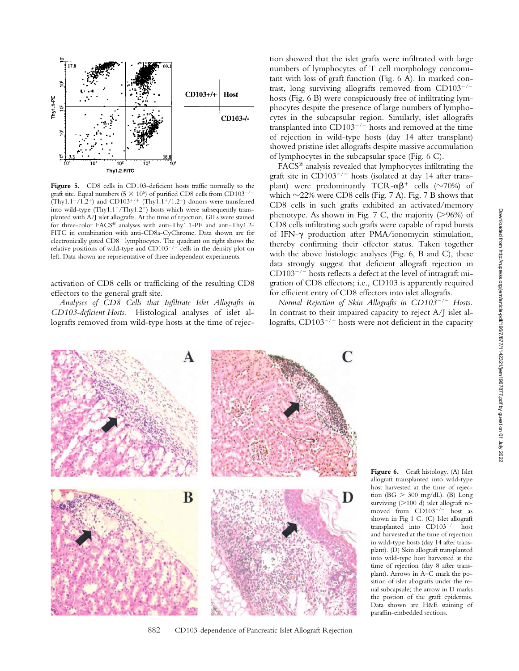

Figure 5. CD8 cells in CD103-deficient hosts traffic normally to the graft site. Equal numbers (5  $\times$  10<sup>6</sup>) of purified CD8 cells from CD103<sup>-/</sup>  $(Thy1.1^-/1.2^+)$  and  $CD103^{+/+}$   $(Thy1.1^+/1.2^-)$  donors were transferred into wild-type (Thy1.1<sup>+</sup>/Thy1.2<sup>+</sup>) hosts which were subsequently transplanted with A/J islet allografts. At the time of rejection, GILs were stained for three-color FACS® analyses with anti-Thy1.1-PE and anti-Thy1.2- FITC in combination with anti-CD8a-CyChrome. Data shown are for electronically gated CD8<sup>+</sup> lymphocytes. The quadrant on right shows the relative positions of wild-type and  $CD103^{-/-}$  cells in the density plot on left. Data shown are representative of three independent experiments.

activation of CD8 cells or trafficking of the resulting CD8 effectors to the general graft site.

*Analyses of CD8 Cells that Infiltrate Islet Allografts in CD103-deficient Hosts.* Histological analyses of islet allografts removed from wild-type hosts at the time of rejection showed that the islet grafts were infiltrated with large numbers of lymphocytes of T cell morphology concomitant with loss of graft function (Fig. 6 A). In marked contrast, long surviving allografts removed from  $CD103^{-/-}$ hosts (Fig. 6 B) were conspicuously free of infiltrating lymphocytes despite the presence of large numbers of lymphocytes in the subcapsular region. Similarly, islet allografts transplanted into  $CD103^{-/-}$  hosts and removed at the time of rejection in wild-type hosts (day 14 after transplant) showed pristine islet allografts despite massive accumulation of lymphocytes in the subcapsular space (Fig. 6 C).

FACS® analysis revealed that lymphocytes infiltrating the graft site in  $CD103^{-/-}$  hosts (isolated at day 14 after transplant) were predominantly TCR- $\alpha\beta^+$  cells ( $\sim$ 70%) of which  $\sim$ 22% were CD8 cells (Fig. 7 A). Fig. 7 B shows that CD8 cells in such grafts exhibited an activated/memory phenotype. As shown in Fig. 7 C, the majority  $(>96%)$  of CD8 cells infiltrating such grafts were capable of rapid bursts of IFN- $\gamma$  production after PMA/ionomycin stimulation, thereby confirming their effector status. Taken together with the above histologic analyses (Fig. 6, B and C), these data strongly suggest that deficient allograft rejection in  $CD103^{-/-}$  hosts reflects a defect at the level of intragraft migration of CD8 effectors; i.e., CD103 is apparently required for efficient entry of CD8 effectors into islet allografts.

*Normal Rejection of Skin Allografts in CD103/ Hosts.* In contrast to their impaired capacity to reject A/J islet allografts,  $CD103^{-/-}$  hosts were not deficient in the capacity



882 CD103-dependence of Pancreatic Islet Allograft Rejection

**Figure 6.** Graft histology. (A) Islet allograft transplanted into wild-type host harvested at the time of rejection (BG  $>$  300 mg/dL). (B) Long surviving  $(>100$  d) islet allograft removed from  $CD103^{-/-}$  host as shown in Fig 1 C. (C) Islet allograft transplanted into  $CD103^{-/-}$  host and harvested at the time of rejection in wild-type hosts (day 14 after transplant). (D) Skin allograft transplanted into wild-type host harvested at the time of rejection (day 8 after transplant). Arrows in A–C mark the position of islet allografts under the renal subcapsule; the arrow in D marks the postion of the graft epidermis. Data shown are H&E staining of paraffin-embedded sections.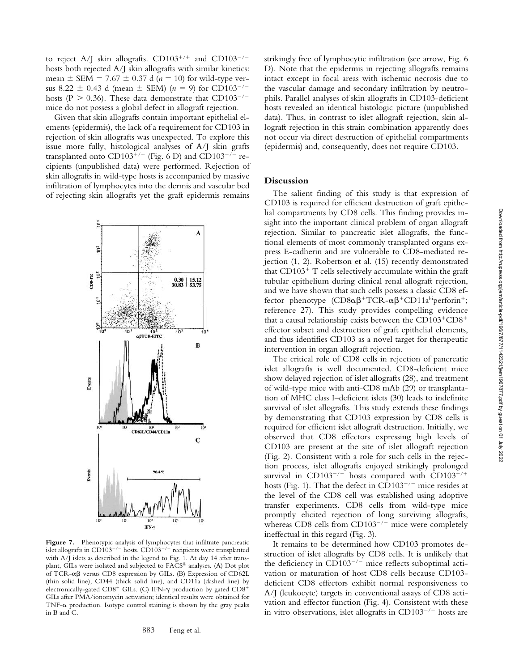to reject A/J skin allografts.  $CD103^{+/+}$  and  $CD103^{-/-}$ hosts both rejected A/J skin allografts with similar kinetics: mean  $\pm$  SEM = 7.67  $\pm$  0.37 d ( $n = 10$ ) for wild-type versus 8.22  $\pm$  0.43 d (mean  $\pm$  SEM) (*n* = 9) for CD103<sup>-/-</sup> hosts (P  $> 0.36$ ). These data demonstrate that CD103<sup>-/-</sup> mice do not possess a global defect in allograft rejection.

Given that skin allografts contain important epithelial elements (epidermis), the lack of a requirement for CD103 in rejection of skin allografts was unexpected. To explore this issue more fully, histological analyses of A/J skin grafts transplanted onto  $CD103^{+/+}$  (Fig. 6 D) and  $CD103^{-/-}$  recipients (unpublished data) were performed. Rejection of skin allografts in wild-type hosts is accompanied by massive infiltration of lymphocytes into the dermis and vascular bed of rejecting skin allografts yet the graft epidermis remains



**Figure 7.** Phenotypic analysis of lymphocytes that infiltrate pancreatic islet allografts in CD103<sup>-/-</sup> hosts. CD103<sup>-/-</sup> recipients were transplanted with A/J islets as described in the legend to Fig. 1. At day 14 after transplant, GILs were isolated and subjected to FACS® analyses. (A) Dot plot of TCR- $\alpha\beta$  versus CD8 expression by GILs. (B) Expression of CD62L (thin solid line), CD44 (thick solid line), and CD11a (dashed line) by electronically-gated CD8<sup>+</sup> GILs. (C) IFN- $\gamma$  production by gated CD8<sup>+</sup> GILs after PMA/ionomycin activation; identical results were obtained for TNF- $\alpha$  production. Isotype control staining is shown by the gray peaks in B and C.

strikingly free of lymphocytic infiltration (see arrow, Fig. 6 D). Note that the epidermis in rejecting allografts remains intact except in focal areas with ischemic necrosis due to the vascular damage and secondary infiltration by neutrophils. Parallel analyses of skin allografts in CD103-deficient hosts revealed an identical histologic picture (unpublished data). Thus, in contrast to islet allograft rejection, skin allograft rejection in this strain combination apparently does not occur via direct destruction of epithelial compartments (epidermis) and, consequently, does not require CD103.

## **Discussion**

The salient finding of this study is that expression of CD103 is required for efficient destruction of graft epithelial compartments by CD8 cells. This finding provides insight into the important clinical problem of organ allograft rejection. Similar to pancreatic islet allografts, the functional elements of most commonly transplanted organs express E-cadherin and are vulnerable to CD8-mediated rejection (1, 2). Robertson et al. (15) recently demonstrated that CD103<sup>+</sup> T cells selectively accumulate within the graft tubular epithelium during clinical renal allograft rejection, and we have shown that such cells possess a classic CD8 effector phenotype  $(CD8\alpha\beta^+ TCR - \alpha\beta^+ CD11a^{\text{hi}} per for in^+;$ reference 27). This study provides compelling evidence that a causal relationship exists between the  $CD103^+CD8^+$ effector subset and destruction of graft epithelial elements, and thus identifies CD103 as a novel target for therapeutic intervention in organ allograft rejection.

The critical role of CD8 cells in rejection of pancreatic islet allografts is well documented. CD8-deficient mice show delayed rejection of islet allografts (28), and treatment of wild-type mice with anti-CD8 mAb (29) or transplantation of MHC class I–deficient islets (30) leads to indefinite survival of islet allografts. This study extends these findings by demonstrating that CD103 expression by CD8 cells is required for efficient islet allograft destruction. Initially, we observed that CD8 effectors expressing high levels of CD103 are present at the site of islet allograft rejection (Fig. 2). Consistent with a role for such cells in the rejection process, islet allografts enjoyed strikingly prolonged survival in CD103<sup>-/-</sup> hosts compared with CD103<sup>+/+</sup> hosts (Fig. 1). That the defect in  $CD103^{-/-}$  mice resides at the level of the CD8 cell was established using adoptive transfer experiments. CD8 cells from wild-type mice promptly elicited rejection of long surviving allografts, whereas CD8 cells from  $CD103^{-/-}$  mice were completely ineffectual in this regard (Fig. 3).

It remains to be determined how CD103 promotes destruction of islet allografts by CD8 cells. It is unlikely that the deficiency in CD103<sup>-/-</sup> mice reflects suboptimal activation or maturation of host CD8 cells because CD103 deficient CD8 effectors exhibit normal responsiveness to A/J (leukocyte) targets in conventional assays of CD8 activation and effector function (Fig. 4). Consistent with these in vitro observations, islet allografts in  $CD103^{-/-}$  hosts are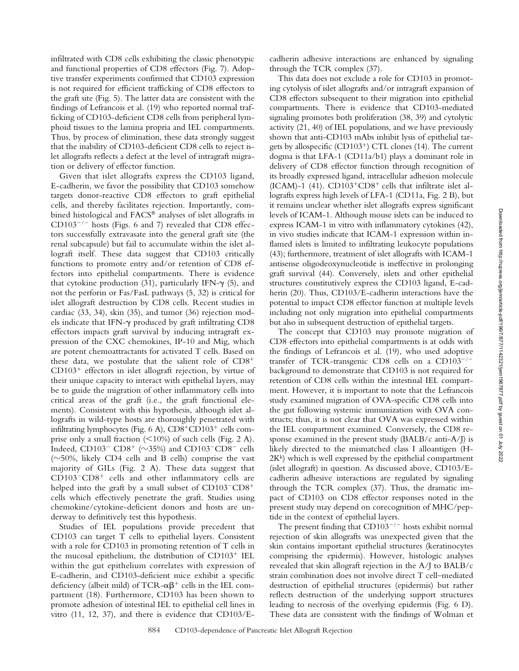infiltrated with CD8 cells exhibiting the classic phenotypic and functional properties of CD8 effectors (Fig. 7). Adoptive transfer experiments confirmed that CD103 expression is not required for efficient trafficking of CD8 effectors to the graft site (Fig. 5). The latter data are consistent with the findings of Lefrancois et al. (19) who reported normal trafficking of CD103-deficient CD8 cells from peripheral lymphoid tissues to the lamina propria and IEL compartments. Thus, by process of elimination, these data strongly suggest that the inability of CD103-deficient CD8 cells to reject islet allografts reflects a defect at the level of intragraft migration or delivery of effector function.

Given that islet allografts express the CD103 ligand, E-cadherin, we favor the possibility that CD103 somehow targets donor-reactive CD8 effectors to graft epithelial cells, and thereby facilitates rejection. Importantly, combined histological and FACS® analyses of islet allografts in  $CD103^{-/-}$  hosts (Figs. 6 and 7) revealed that  $CD8$  effectors successfully extravasate into the general graft site (the renal subcapsule) but fail to accumulate within the islet allograft itself. These data suggest that CD103 critically functions to promote entry and/or retention of CD8 effectors into epithelial compartments. There is evidence that cytokine production (31), particularly IFN- $\gamma$  (5), and not the perforin or Fas/FasL pathways (5, 32) is critical for islet allograft destruction by CD8 cells. Recent studies in cardiac (33, 34), skin (35), and tumor (36) rejection models indicate that IFN- $\gamma$  produced by graft infiltrating CD8 effectors impacts graft survival by inducing intragraft expression of the CXC chemokines, IP-10 and Mig, which are potent chemoattractants for activated T cells. Based on these data, we postulate that the salient role of CD8- CD103<sup>+</sup> effectors in islet allograft rejection, by virtue of their unique capacity to interact with epithelial layers, may be to guide the migration of other inflammatory cells into critical areas of the graft (i.e., the graft functional elements). Consistent with this hypothesis, although islet allografts in wild-type hosts are thoroughly penetrated with infiltrating lymphocytes (Fig. 6 A), CD8<sup>+</sup>CD103<sup>+</sup> cells comprise only a small fraction  $\left($  < 10%) of such cells (Fig. 2 A). Indeed,  $CD103$ <sup>-</sup>  $CD8$ <sup>+</sup> ( $\sim$ 35%) and  $CD103$ <sup>-</sup> $CD8$ <sup>-</sup> cells  $(\sim)50\%$ , likely CD4 cells and B cells) comprise the vast majority of GILs (Fig. 2 A). These data suggest that CD103<sup>-</sup>CD8<sup>+</sup> cells and other inflammatory cells are helped into the graft by a small subset of  $CD103$ <sup>- $CD8$ <sup>+</sup></sup> cells which effectively penetrate the graft. Studies using chemokine/cytokine-deficient donors and hosts are underway to definitively test this hypothesis.

Studies of IEL populations provide precedent that CD103 can target T cells to epithelial layers. Consistent with a role for CD103 in promoting retention of T cells in the mucosal epithelium, the distribution of CD103<sup>+</sup> IEL within the gut epithelium correlates with expression of E-cadherin, and CD103-deficient mice exhibit a specific deficiency (albeit mild) of TCR- $\alpha\beta^+$  cells in the IEL compartment (18). Furthermore, CD103 has been shown to promote adhesion of intestinal IEL to epithelial cell lines in vitro (11, 12, 37), and there is evidence that CD103/E-

cadherin adhesive interactions are enhanced by signaling through the TCR complex (37).

This data does not exclude a role for CD103 in promoting cytolysis of islet allografts and/or intragraft expansion of CD8 effectors subsequent to their migration into epithelial compartments. There is evidence that CD103-mediated signaling promotes both proliferation (38, 39) and cytolytic activity (21, 40) of IEL populations, and we have previously shown that anti-CD103 mAbs inhibit lysis of epithelial targets by allospecific (CD103<sup>+</sup>) CTL clones (14). The current dogma is that LFA-1 (CD11a/b1) plays a dominant role in delivery of CD8 effector function through recognition of its broadly expressed ligand, intracellular adhesion molecule (ICAM)-1 (41).  $CD103+CD8$ <sup>+</sup> cells that infiltrate islet allografts express high levels of LFA-1 (CD11a, Fig. 2 B), but it remains unclear whether islet allografts express significant levels of ICAM-1. Although mouse islets can be induced to express ICAM-1 in vitro with inflammatory cytokines (42), in vivo studies indicate that ICAM-1 expression within inflamed islets is limited to infiltrating leukocyte populations (43); furthermore, treatment of islet allografts with ICAM-1 antisense oligodeoxynucleotide is ineffective in prolonging graft survival (44). Conversely, islets and other epithelial structures constitutively express the CD103 ligand, E-cadherin (20). Thus, CD103/E-cadherin interactions have the potential to impact CD8 effector function at multiple levels including not only migration into epithelial compartments but also in subsequent destruction of epithelial targets.

The concept that CD103 may promote migration of CD8 effectors into epithelial compartments is at odds with the findings of Lefrancois et al. (19), who used adoptive transfer of TCR-transgenic CD8 cells on a  $CD103^{-/-}$ background to demonstrate that CD103 is not required for retention of CD8 cells within the intestinal IEL compartment. However, it is important to note that the Lefrancois study examined migration of OVA-specific CD8 cells into the gut following systemic immunization with OVA constructs; thus, it is not clear that OVA was expressed within the IEL compartment examined. Conversely, the CD8 response examined in the present study (BALB/c anti-A/J) is likely directed to the mismatched class I alloantigen (H- $2K<sup>k</sup>$ ) which is well expressed by the epithelial compartment (islet allograft) in question. As discussed above, CD103/Ecadherin adhesive interactions are regulated by signaling through the TCR complex (37). Thus, the dramatic impact of CD103 on CD8 effector responses noted in the present study may depend on corecognition of MHC/peptide in the context of epithelial layers.

The present finding that  $CD103^{-/-}$  hosts exhibit normal rejection of skin allografts was unexpected given that the skin contains important epithelial structures (keratinocytes comprising the epidermis). However, histologic analyses revealed that skin allograft rejection in the A/J to BALB/c strain combination does not involve direct T cell–mediated destruction of epithelial structures (epidermis) but rather reflects destruction of the underlying support structures leading to necrosis of the overlying epidermis (Fig. 6 D). These data are consistent with the findings of Wolman et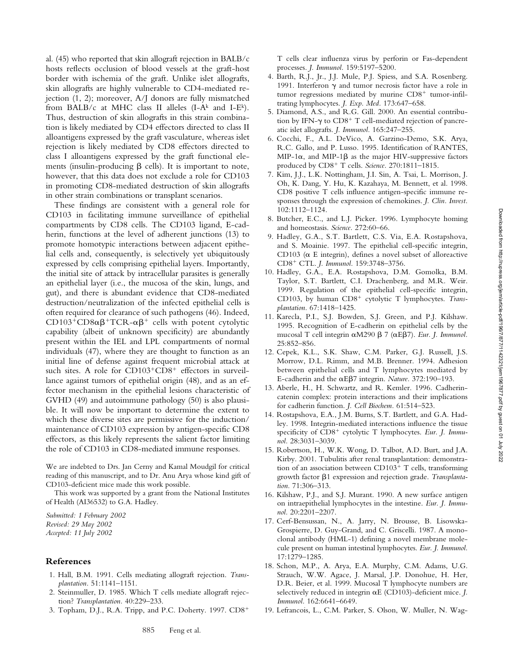al. (45) who reported that skin allograft rejection in BALB/c hosts reflects occlusion of blood vessels at the graft-host border with ischemia of the graft. Unlike islet allografts, skin allografts are highly vulnerable to CD4-mediated rejection (1, 2); moreover, A/J donors are fully mismatched from BALB/c at MHC class II alleles (I-A<sup>k</sup> and I-E<sup>k</sup>). Thus, destruction of skin allografts in this strain combination is likely mediated by CD4 effectors directed to class II alloantigens expressed by the graft vasculature, whereas islet rejection is likely mediated by CD8 effectors directed to class I alloantigens expressed by the graft functional elements (insulin-producing  $\beta$  cells). It is important to note, however, that this data does not exclude a role for CD103 in promoting CD8-mediated destruction of skin allografts in other strain combinations or transplant scenarios.

These findings are consistent with a general role for CD103 in facilitating immune surveillance of epithelial compartments by CD8 cells. The CD103 ligand, E-cadherin, functions at the level of adherent junctions (13) to promote homotypic interactions between adjacent epithelial cells and, consequently, is selectively yet ubiquitously expressed by cells comprising epithelial layers. Importantly, the initial site of attack by intracellular parasites is generally an epithelial layer (i.e., the mucosa of the skin, lungs, and gut), and there is abundant evidence that CD8-mediated destruction/neutralization of the infected epithelial cells is often required for clearance of such pathogens (46). Indeed, CD103+CD8 $\alpha\beta$ +TCR- $\alpha\beta$ + cells with potent cytolytic capability (albeit of unknown specificity) are abundantly present within the IEL and LPL compartments of normal individuals (47), where they are thought to function as an initial line of defense against frequent microbial attack at such sites. A role for CD103<sup>+</sup>CD8<sup>+</sup> effectors in surveillance against tumors of epithelial origin (48), and as an effector mechanism in the epithelial lesions characteristic of GVHD (49) and autoimmune pathology (50) is also plausible. It will now be important to determine the extent to which these diverse sites are permissive for the induction/ maintenance of CD103 expression by antigen-specific CD8 effectors, as this likely represents the salient factor limiting the role of CD103 in CD8-mediated immune responses.

We are indebted to Drs. Jan Cerny and Kamal Moudgil for critical reading of this manuscript, and to Dr. Anu Arya whose kind gift of CD103-deficient mice made this work possible.

This work was supported by a grant from the National Institutes of Health (AI36532) to G.A. Hadley.

*Submitted: 1 February 2002 Revised: 29 May 2002 Accepted: 11 July 2002*

# **References**

- 1. Hall, B.M. 1991. Cells mediating allograft rejection. *Transplantation.* 51:1141–1151.
- 2. Steinmuller, D. 1985. Which T cells mediate allograft rejection? *Transplantation.* 40:229–233.
- 3. Topham, D.J., R.A. Tripp, and P.C. Doherty. 1997. CD8-

T cells clear influenza virus by perforin or Fas-dependent processes. *J. Immunol.* 159:5197–5200.

- 4. Barth, R.J., Jr., J.J. Mule, P.J. Spiess, and S.A. Rosenberg. 1991. Interferon  $\gamma$  and tumor necrosis factor have a role in tumor regressions mediated by murine CD8<sup>+</sup> tumor-infiltrating lymphocytes. *J. Exp. Med.* 173:647–658.
- 5. Diamond, A.S., and R.G. Gill. 2000. An essential contribution by IFN- $\gamma$  to CD8<sup>+</sup> T cell-mediated rejection of pancreatic islet allografts. *J. Immunol.* 165:247–255.
- 6. Cocchi, F., A.L. DeVico, A. Garzino-Demo, S.K. Arya, R.C. Gallo, and P. Lusso. 1995. Identification of RANTES, MIP-1 $\alpha$ , and MIP-1 $\beta$  as the major HIV-suppressive factors produced by CD8- T cells. *Science.* 270:1811–1815.
- 7. Kim, J.J., L.K. Nottingham, J.I. Sin, A. Tsai, L. Morrison, J. Oh, K. Dang, Y. Hu, K. Kazahaya, M. Bennett, et al. 1998. CD8 positive T cells influence antigen-specific immune responses through the expression of chemokines. *J. Clin. Invest.* 102:1112–1124.
- 8. Butcher, E.C., and L.J. Picker. 1996. Lymphocyte homing and homeostasis. *Science.* 272:60–66.
- 9. Hadley, G.A., S.T. Bartlett, C.S. Via, E.A. Rostapshova, and S. Moainie. 1997. The epithelial cell-specific integrin, CD103 ( $\alpha$  E integrin), defines a novel subset of alloreactive CD8- CTL. *J. Immunol.* 159:3748–3756.
- 10. Hadley, G.A., E.A. Rostapshova, D.M. Gomolka, B.M. Taylor, S.T. Bartlett, C.I. Drachenberg, and M.R. Weir. 1999. Regulation of the epithelial cell-specific integrin, CD103, by human CD8<sup>+</sup> cytolytic T lymphocytes. Trans*plantation.* 67:1418–1425.
- 11. Karecla, P.I., S.J. Bowden, S.J. Green, and P.J. Kilshaw. 1995. Recognition of E-cadherin on epithelial cells by the mucosal T cell integrin αM290 β 7 (αΕβ7). *Eur. J. Immunol.* 25:852–856.
- 12. Cepek, K.L., S.K. Shaw, C.M. Parker, G.J. Russell, J.S. Morrow, D.L. Rimm, and M.B. Brenner. 1994. Adhesion between epithelial cells and T lymphocytes mediated by E-cadherin and the  $\alpha$ E $\beta$ 7 integrin. *Nature.* 372:190–193.
- 13. Aberle, H., H. Schwartz, and R. Kemler. 1996. Cadherincatenin complex: protein interactions and their implications for cadherin function. *J. Cell Biochem.* 61:514–523.
- 14. Rostapshova, E.A., J.M. Burns, S.T. Bartlett, and G.A. Hadley. 1998. Integrin-mediated interactions influence the tissue specificity of CD8<sup>+</sup> cytolytic T lymphocytes. Eur. J. Immu*nol.* 28:3031–3039.
- 15. Robertson, H., W.K. Wong, D. Talbot, A.D. Burt, and J.A. Kirby. 2001. Tubulitis after renal transplantation: demonstration of an association between CD103<sup>+</sup> T cells, transforming growth factor  $\beta$ 1 expression and rejection grade. Transplanta*tion.* 71:306–313.
- 16. Kilshaw, P.J., and S.J. Murant. 1990. A new surface antigen on intraepithelial lymphocytes in the intestine. *Eur. J. Immunol.* 20:2201–2207.
- 17. Cerf-Bensussan, N., A. Jarry, N. Brousse, B. Lisowska-Grospierre, D. Guy-Grand, and C. Griscelli. 1987. A monoclonal antibody (HML-1) defining a novel membrane molecule present on human intestinal lymphocytes. *Eur. J. Immunol.* 17:1279–1285.
- 18. Schon, M.P., A. Arya, E.A. Murphy, C.M. Adams, U.G. Strauch, W.W. Agace, J. Marsal, J.P. Donohue, H. Her, D.R. Beier, et al. 1999. Mucosal T lymphocyte numbers are selectively reduced in integrin  $\alpha E$  (CD103)-deficient mice. *J*. *Immunol.* 162:6641–6649.
- 19. Lefrancois, L., C.M. Parker, S. Olson, W. Muller, N. Wag-